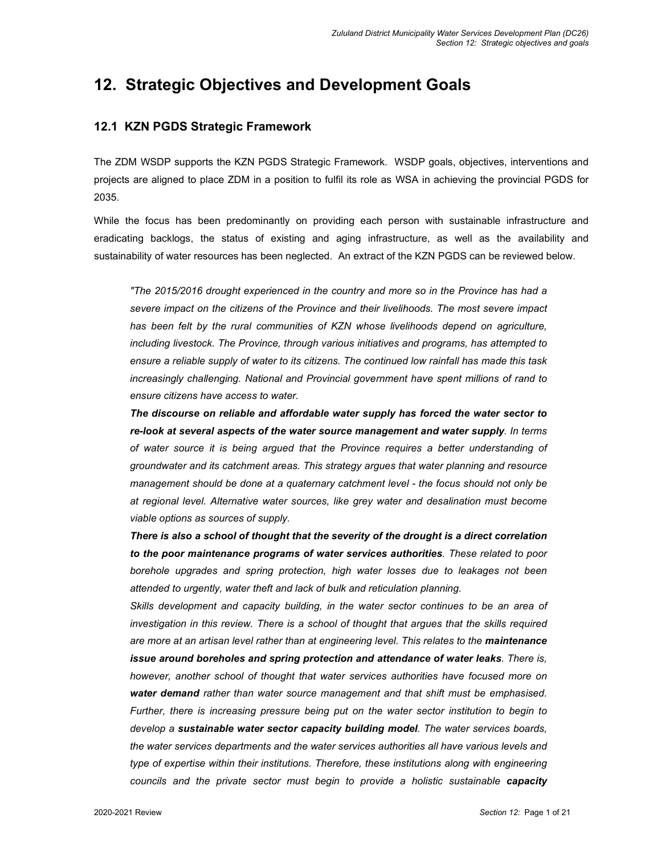# **12. Strategic Objectives and Development Goals**

# **12.1 KZN PGDS Strategic Framework**

The ZDM WSDP supports the KZN PGDS Strategic Framework. WSDP goals, objectives, interventions and projects are aligned to place ZDM in a position to fulfil its role as WSA in achieving the provincial PGDS for 2035.

While the focus has been predominantly on providing each person with sustainable infrastructure and eradicating backlogs, the status of existing and aging infrastructure, as well as the availability and sustainability of water resources has been neglected. An extract of the KZN PGDS can be reviewed below.

*"The 2015/2016 drought experienced in the country and more so in the Province has had a severe impact on the citizens of the Province and their livelihoods. The most severe impact*  has been felt by the rural communities of KZN whose livelihoods depend on agriculture, *including livestock. The Province, through various initiatives and programs, has attempted to ensure a reliable supply of water to its citizens. The continued low rainfall has made this task increasingly challenging. National and Provincial government have spent millions of rand to ensure citizens have access to water.* 

*The discourse on reliable and affordable water supply has forced the water sector to re-look at several aspects of the water source management and water supply. In terms of water source it is being argued that the Province requires a better understanding of groundwater and its catchment areas. This strategy argues that water planning and resource management should be done at a quaternary catchment level - the focus should not only be at regional level. Alternative water sources, like grey water and desalination must become viable options as sources of supply.* 

*There is also a school of thought that the severity of the drought is a direct correlation to the poor maintenance programs of water services authorities. These related to poor borehole upgrades and spring protection, high water losses due to leakages not been attended to urgently, water theft and lack of bulk and reticulation planning.* 

*Skills development and capacity building, in the water sector continues to be an area of investigation in this review. There is a school of thought that argues that the skills required are more at an artisan level rather than at engineering level. This relates to the maintenance issue around boreholes and spring protection and attendance of water leaks. There is, however, another school of thought that water services authorities have focused more on water demand rather than water source management and that shift must be emphasised. Further, there is increasing pressure being put on the water sector institution to begin to develop a sustainable water sector capacity building model. The water services boards, the water services departments and the water services authorities all have various levels and type of expertise within their institutions. Therefore, these institutions along with engineering councils and the private sector must begin to provide a holistic sustainable capacity*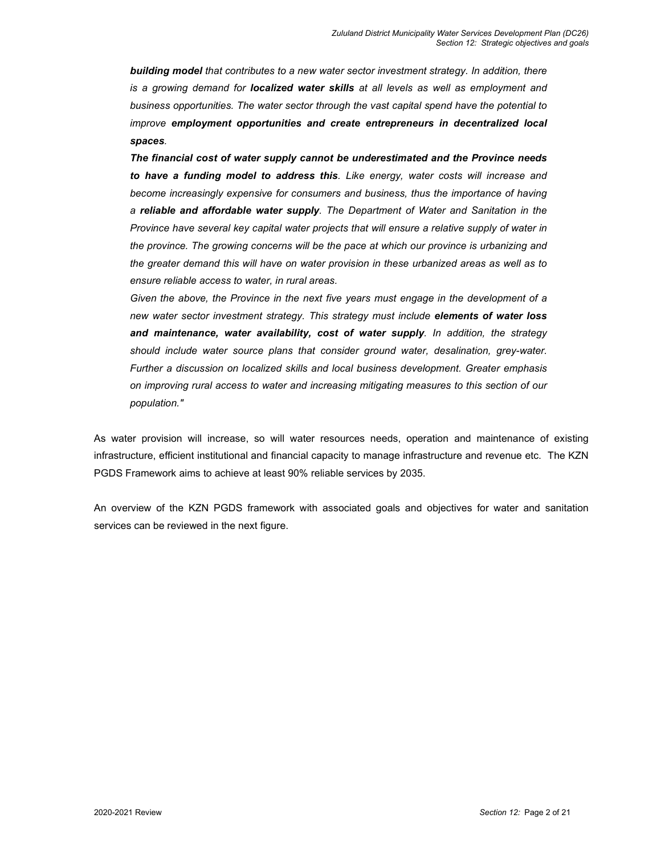*building model that contributes to a new water sector investment strategy. In addition, there is a growing demand for localized water skills at all levels as well as employment and business opportunities. The water sector through the vast capital spend have the potential to improve employment opportunities and create entrepreneurs in decentralized local spaces.* 

*The financial cost of water supply cannot be underestimated and the Province needs to have a funding model to address this. Like energy, water costs will increase and become increasingly expensive for consumers and business, thus the importance of having a reliable and affordable water supply. The Department of Water and Sanitation in the Province have several key capital water projects that will ensure a relative supply of water in the province. The growing concerns will be the pace at which our province is urbanizing and the greater demand this will have on water provision in these urbanized areas as well as to ensure reliable access to water, in rural areas.* 

*Given the above, the Province in the next five years must engage in the development of a new water sector investment strategy. This strategy must include elements of water loss and maintenance, water availability, cost of water supply. In addition, the strategy should include water source plans that consider ground water, desalination, grey-water. Further a discussion on localized skills and local business development. Greater emphasis on improving rural access to water and increasing mitigating measures to this section of our population."* 

As water provision will increase, so will water resources needs, operation and maintenance of existing infrastructure, efficient institutional and financial capacity to manage infrastructure and revenue etc. The KZN PGDS Framework aims to achieve at least 90% reliable services by 2035.

An overview of the KZN PGDS framework with associated goals and objectives for water and sanitation services can be reviewed in the next figure.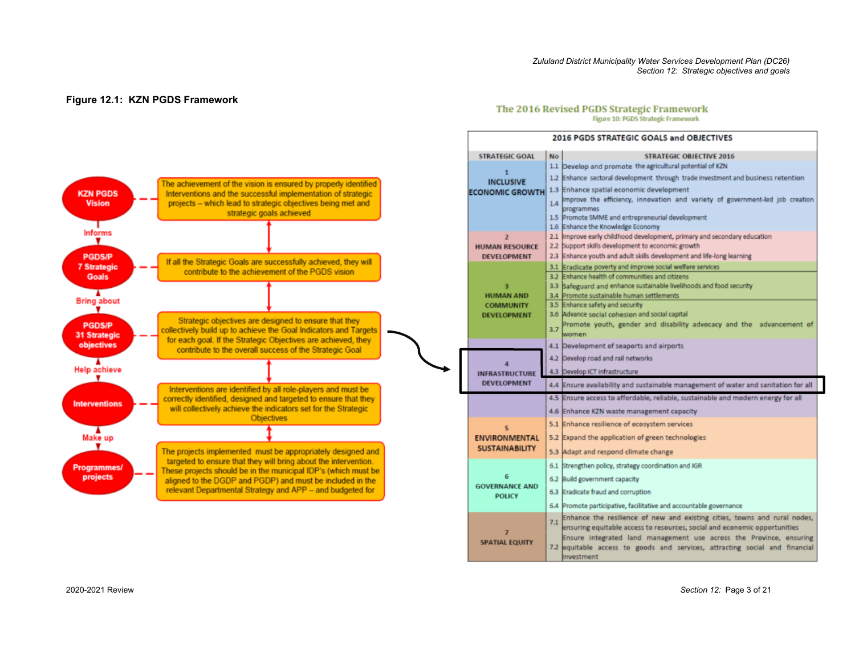#### *Zululand District Municipality Water Services Development Plan (DC26) Section 12: Strategic objectives and goals*

2016 PGDS STRATEGIC GOALS and ORIECTIVES

#### **Figure 12.1: KZN PGDS Framework**

#### The 2016 Revised PGDS Strategic Framework Figure 10: PGDS Strategic Framework



| <b>STRATEGIC GOAL</b>                  | <b>No</b> | <b>STRATEGIC OBJECTIVE 2016</b>                                                                             |
|----------------------------------------|-----------|-------------------------------------------------------------------------------------------------------------|
|                                        |           | 1.1 Develop and promote the agricultural potential of KZN                                                   |
| 1<br><b>INCLUSIVE</b>                  |           | 1.2 Enhance sectoral development through trade investment and business retention                            |
| <b>ECONOMIC GROWTH</b>                 |           | 1.3 Enhance spatial economic development                                                                    |
|                                        |           | Improve the efficiency, innovation and variety of government-led job creation                               |
|                                        | 1.4       | programmes                                                                                                  |
|                                        |           | 1.5 Promote SMME and entrepreneurial development                                                            |
|                                        |           | 1.6 Enhance the Knowledge Economy                                                                           |
| $\overline{z}$                         |           | 2.1 Improve early childhood development, primary and secondary education                                    |
| <b>HUMAN RESOURCE</b>                  |           | 2.2 Support skills development to economic growth                                                           |
| <b>DEVELOPMENT</b>                     |           | 2.3 Enhance youth and adult skills development and life-long learning                                       |
|                                        |           | 3.1 Eradicate poverty and improve social welfare services<br>3.2 Enhance health of communities and citizens |
| з                                      |           | 3.3 Safeguard and enhance sustainable livelihoods and food security                                         |
| <b>HUMAN AND</b>                       |           | 3.4 Promote sustainable human settlements                                                                   |
| <b>COMMUNITY</b>                       |           | 3.5 Enhance safety and security                                                                             |
| <b>DEVELOPMENT</b>                     |           | 3.6 Advance social cohesion and social capital                                                              |
|                                        | 3.7       | Promote youth, gender and disability advocacy and the advancement of                                        |
|                                        |           | women                                                                                                       |
|                                        |           | 4.1 Development of seaports and airports                                                                    |
|                                        |           | 4.2 Develop road and rail networks                                                                          |
| <b>INFRASTRUCTURE</b>                  |           | 4.3 Develop ICT Infrastructure                                                                              |
| <b>DEVELOPMENT</b>                     |           | 4.4 Ensure availability and sustainable management of water and sanitation for all                          |
|                                        |           | 4.5 Ensure access to affordable, reliable, sustainable and modern energy for all                            |
|                                        |           | 4.6 Enhance KZN waste management capacity                                                                   |
| 5                                      |           | 5.1 Enhance resilience of ecosystem services                                                                |
| <b>ENVIRONMENTAL</b>                   |           | 5.2 Expand the application of green technologies                                                            |
| <b>SUSTAINABILITY</b>                  |           | 5.3 Adapt and respond climate change                                                                        |
|                                        | 6.1       | Strengthen policy, strategy coordination and IGR                                                            |
| 6                                      |           | 6.2 Build government capacity                                                                               |
| <b>GOVERNANCE AND</b><br><b>POLICY</b> | 6.3       | Eradicate fraud and corruption                                                                              |
|                                        |           | 6.4 Promote participative, facilitative and accountable governance                                          |
|                                        | 7.1       | Enhance the resilience of new and existing cities, towns and rural nodes,                                   |
| 7                                      |           | ensuring equitable access to resources, social and economic opportunities                                   |
| <b>SPATIAL EQUITY</b>                  |           | Ensure integrated land management use across the Province, ensuring                                         |
|                                        |           | 7.2 lequitable access to goods and services, attracting social and financial                                |
|                                        |           | investment                                                                                                  |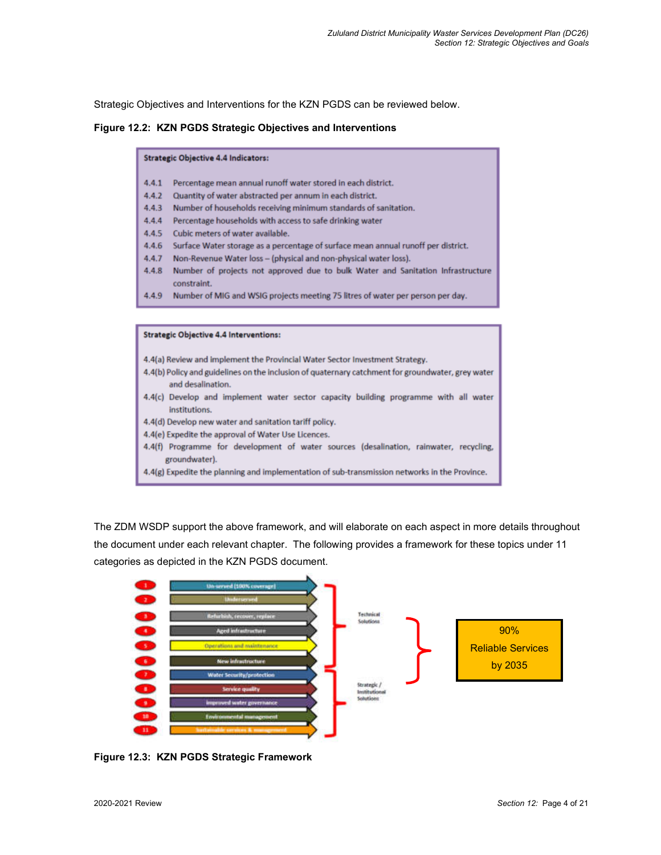Strategic Objectives and Interventions for the KZN PGDS can be reviewed below.

#### **Figure 12.2: KZN PGDS Strategic Objectives and Interventions**

#### **Strategic Objective 4.4 Indicators:**

- 4.4.1 Percentage mean annual runoff water stored in each district.
- 4.4.2 Quantity of water abstracted per annum in each district.
- 4.4.3 Number of households receiving minimum standards of sanitation.
- 4.4.4 Percentage households with access to safe drinking water
- $4.4.5$ Cubic meters of water available.
- 4.4.6 Surface Water storage as a percentage of surface mean annual runoff per district.
- 4.4.7 Non-Revenue Water loss (physical and non-physical water loss).
- 4.4.8 Number of projects not approved due to bulk Water and Sanitation Infrastructure constraint.
- Number of MIG and WSIG projects meeting 75 litres of water per person per day. 4.4.9

#### **Strategic Objective 4.4 Interventions:**

- 4.4(a) Review and implement the Provincial Water Sector Investment Strategy.
- 4.4(b) Policy and guidelines on the inclusion of quaternary catchment for groundwater, grey water and desalination.
- 4.4(c) Develop and implement water sector capacity building programme with all water institutions.
- 4.4(d) Develop new water and sanitation tariff policy.
- 4.4(e) Expedite the approval of Water Use Licences.
- 4.4(f) Programme for development of water sources (desalination, rainwater, recycling, groundwater).

The ZDM WSDP support the above framework, and will elaborate on each aspect in more details throughout the document under each relevant chapter. The following provides a framework for these topics under 11 categories as depicted in the KZN PGDS document.



**Figure 12.3: KZN PGDS Strategic Framework** 

<sup>4.4(</sup>g) Expedite the planning and implementation of sub-transmission networks in the Province.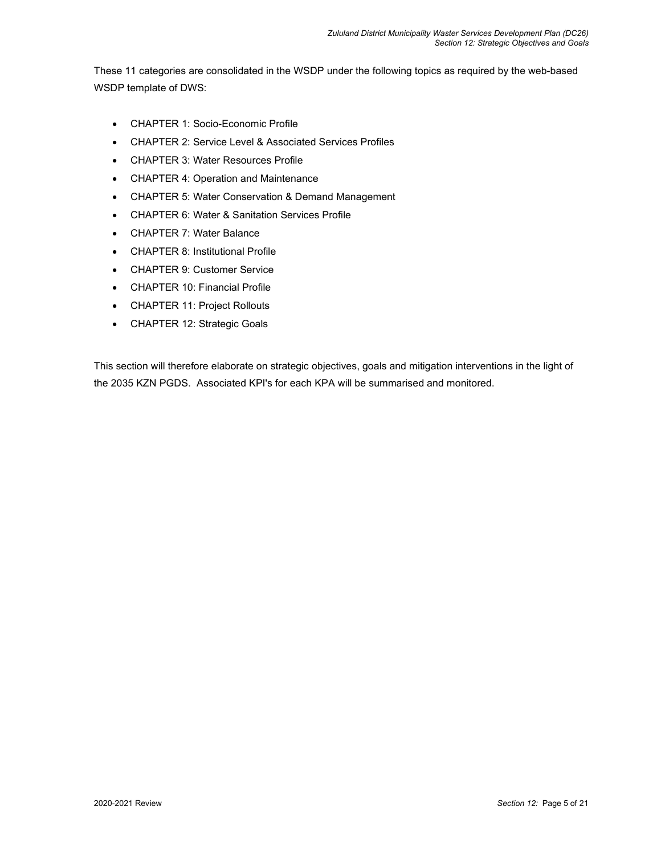These 11 categories are consolidated in the WSDP under the following topics as required by the web-based WSDP template of DWS:

- CHAPTER 1: Socio-Economic Profile
- CHAPTER 2: Service Level & Associated Services Profiles
- CHAPTER 3: Water Resources Profile
- CHAPTER 4: Operation and Maintenance
- CHAPTER 5: Water Conservation & Demand Management
- CHAPTER 6: Water & Sanitation Services Profile
- CHAPTER 7: Water Balance
- CHAPTER 8: Institutional Profile
- CHAPTER 9: Customer Service
- CHAPTER 10: Financial Profile
- CHAPTER 11: Project Rollouts
- CHAPTER 12: Strategic Goals

This section will therefore elaborate on strategic objectives, goals and mitigation interventions in the light of the 2035 KZN PGDS. Associated KPI's for each KPA will be summarised and monitored.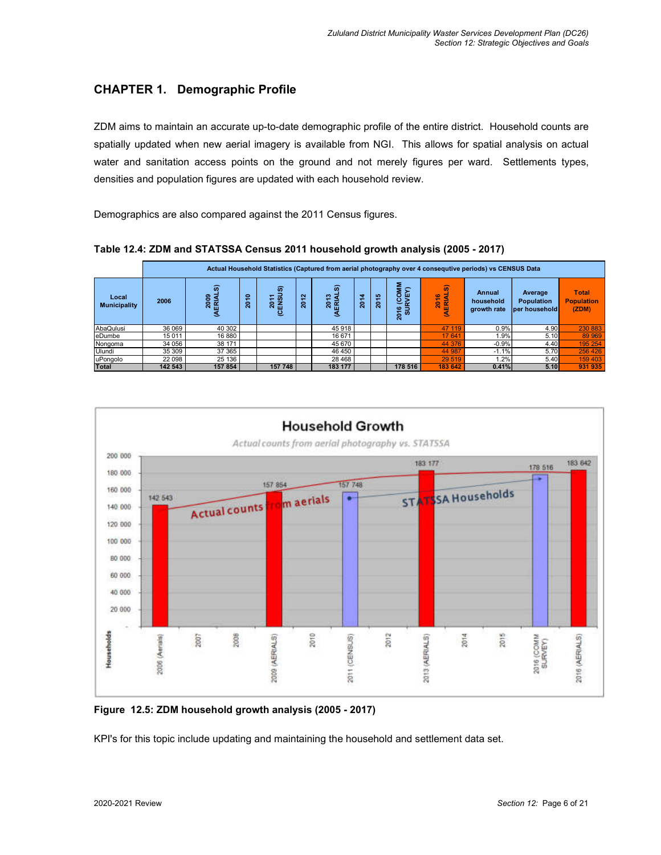# **CHAPTER 1. Demographic Profile**

ZDM aims to maintain an accurate up-to-date demographic profile of the entire district. Household counts are spatially updated when new aerial imagery is available from NGI. This allows for spatial analysis on actual water and sanitation access points on the ground and not merely figures per ward. Settlements types, densities and population figures are updated with each household review.

Demographics are also compared against the 2011 Census figures.

|                              |         |                                                                                                             |  |                                |                |                                        |                             |                                                                                 |                            | -                                  |                                               |                                            |         |  |  |  |
|------------------------------|---------|-------------------------------------------------------------------------------------------------------------|--|--------------------------------|----------------|----------------------------------------|-----------------------------|---------------------------------------------------------------------------------|----------------------------|------------------------------------|-----------------------------------------------|--------------------------------------------|---------|--|--|--|
|                              |         | Actual Household Statistics (Captured from aerial photography over 4 consequtive periods) vs CENSUS Data    |  |                                |                |                                        |                             |                                                                                 |                            |                                    |                                               |                                            |         |  |  |  |
| Local<br><b>Municipality</b> | 2006    | ົ<br>ົ<br>eoo<br>2010<br>$\overline{\phantom{0}}$<br>ERIAI<br>ENSL<br>$\overline{\phantom{0}}$<br>និ<br>್ತಲ |  | $\sim$<br>$\blacksquare$<br>និ | ົ<br>2013<br>폆 | $\blacktriangleleft$<br>$\overline{5}$ | <b>SO</b><br>$\frac{20}{2}$ | <b>NINO</b><br>⊊<br>ш<br>$\rm\acute{e}$<br>$\boldsymbol{\omega}$<br>ਙ<br>w<br>Ñ | ஒ<br>a<br><b>2016</b><br>匾 | Annual<br>household<br>growth rate | Average<br><b>Population</b><br>per household | <b>Total</b><br><b>Population</b><br>(ZDM) |         |  |  |  |
| AbaQulusi                    | 36 069  | 40 30 2                                                                                                     |  |                                |                | 45918                                  |                             |                                                                                 |                            | 47 119                             | 0.9%                                          | 4.90                                       | 230 883 |  |  |  |
| eDumbe                       | 15 0 11 | 16 880                                                                                                      |  |                                |                | 16 671                                 |                             |                                                                                 |                            | 17 641                             | 1.9%                                          | 5.10                                       | 89 969  |  |  |  |
| Nongoma                      | 34 056  | 38 171                                                                                                      |  |                                |                | 45 670                                 |                             |                                                                                 |                            | 44 376                             | $-0.9%$                                       | 4.40                                       | 195 254 |  |  |  |
| Ulundi                       | 35 309  | 37 365                                                                                                      |  |                                |                | 46 450                                 |                             |                                                                                 |                            | 44 987                             | $-1.1%$                                       | 5.70                                       | 256 426 |  |  |  |
| uPongolo                     | 22 098  | 25 136                                                                                                      |  |                                |                | 28 4 68                                |                             |                                                                                 |                            | 29 519                             | .2%                                           | 5.40                                       | 159 403 |  |  |  |
| <b>Total</b>                 | 142 543 | 157 854                                                                                                     |  | 157 748                        |                | 183 177                                |                             |                                                                                 | 178 516                    | 183 642                            | 0.41%                                         | 5.10                                       | 931 935 |  |  |  |





**Figure 12.5: ZDM household growth analysis (2005 - 2017)** 

KPI's for this topic include updating and maintaining the household and settlement data set.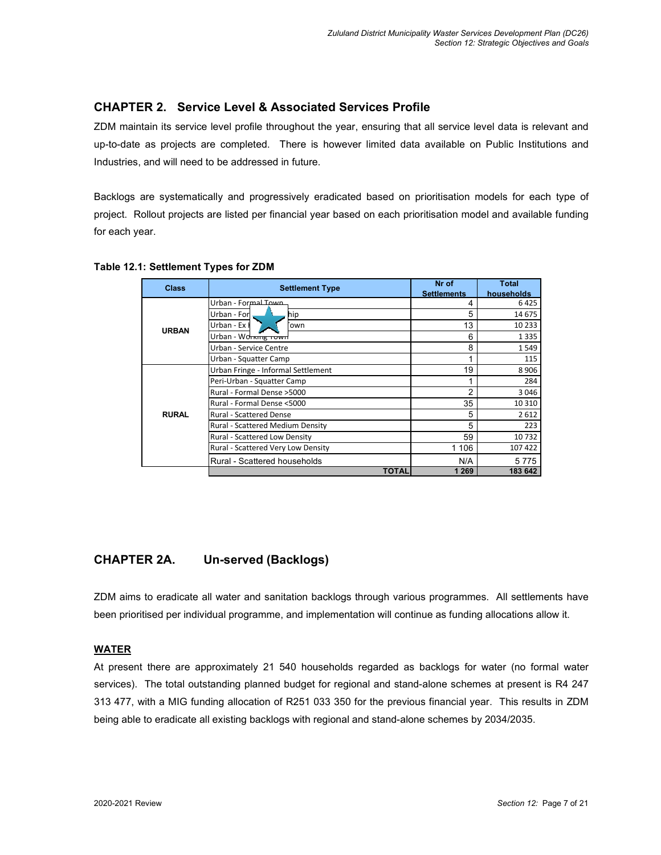# **CHAPTER 2. Service Level & Associated Services Profile**

ZDM maintain its service level profile throughout the year, ensuring that all service level data is relevant and up-to-date as projects are completed. There is however limited data available on Public Institutions and Industries, and will need to be addressed in future.

Backlogs are systematically and progressively eradicated based on prioritisation models for each type of project. Rollout projects are listed per financial year based on each prioritisation model and available funding for each year.

| <b>Class</b> | <b>Settlement Type</b>             | Nr of<br><b>Settlements</b> | <b>Total</b><br>households |
|--------------|------------------------------------|-----------------------------|----------------------------|
|              | Urban - Formal Town                | 4                           | 6425                       |
|              | Urban - For<br>hip                 | 5                           | 14 675                     |
| <b>URBAN</b> | Urban - Ex<br>own                  | 13                          | 10 2 3 3                   |
|              | Urban - Working rown               | 6                           | 1335                       |
|              | Urban - Service Centre             | 8                           | 1549                       |
|              | Urban - Squatter Camp              | 1                           | 115                        |
|              | Urban Fringe - Informal Settlement | 19                          | 8906                       |
|              | Peri-Urban - Squatter Camp         |                             | 284                        |
|              | Rural - Formal Dense > 5000        | 2                           | 3046                       |
|              | Rural - Formal Dense <5000         | 35                          | 10 3 10                    |
| <b>RURAL</b> | <b>Rural - Scattered Dense</b>     | 5                           | 2612                       |
|              | Rural - Scattered Medium Density   | 5                           | 223                        |
|              | Rural - Scattered Low Density      | 59                          | 10732                      |
|              | Rural - Scattered Very Low Density | 1 106                       | 107422                     |
|              | Rural - Scattered households       | N/A                         | 5775                       |
|              | <b>TOTAL</b>                       | 1 2 6 9                     | 183 642                    |

**Table 12.1: Settlement Types for ZDM** 

# **CHAPTER 2A. Un-served (Backlogs)**

ZDM aims to eradicate all water and sanitation backlogs through various programmes. All settlements have been prioritised per individual programme, and implementation will continue as funding allocations allow it.

### **WATER**

At present there are approximately 21 540 households regarded as backlogs for water (no formal water services). The total outstanding planned budget for regional and stand-alone schemes at present is R4 247 313 477, with a MIG funding allocation of R251 033 350 for the previous financial year. This results in ZDM being able to eradicate all existing backlogs with regional and stand-alone schemes by 2034/2035.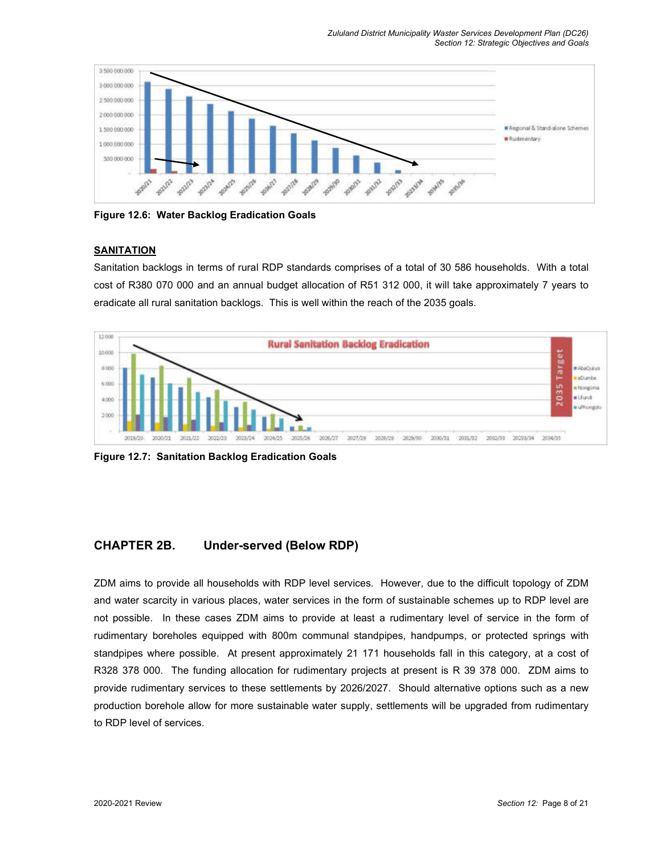*Zululand District Municipality Waster Services Development Plan (DC26) Section 12: Strategic Objectives and Goals* 



**Figure 12.6: Water Backlog Eradication Goals** 

### **SANITATION**

Sanitation backlogs in terms of rural RDP standards comprises of a total of 30 586 households. With a total cost of R380 070 000 and an annual budget allocation of R51 312 000, it will take approximately 7 years to eradicate all rural sanitation backlogs. This is well within the reach of the 2035 goals.



**Figure 12.7: Sanitation Backlog Eradication Goals** 

## **CHAPTER 2B. Under-served (Below RDP)**

ZDM aims to provide all households with RDP level services. However, due to the difficult topology of ZDM and water scarcity in various places, water services in the form of sustainable schemes up to RDP level are not possible. In these cases ZDM aims to provide at least a rudimentary level of service in the form of rudimentary boreholes equipped with 800m communal standpipes, handpumps, or protected springs with standpipes where possible. At present approximately 21 171 households fall in this category, at a cost of R328 378 000. The funding allocation for rudimentary projects at present is R 39 378 000. ZDM aims to provide rudimentary services to these settlements by 2026/2027. Should alternative options such as a new production borehole allow for more sustainable water supply, settlements will be upgraded from rudimentary to RDP level of services.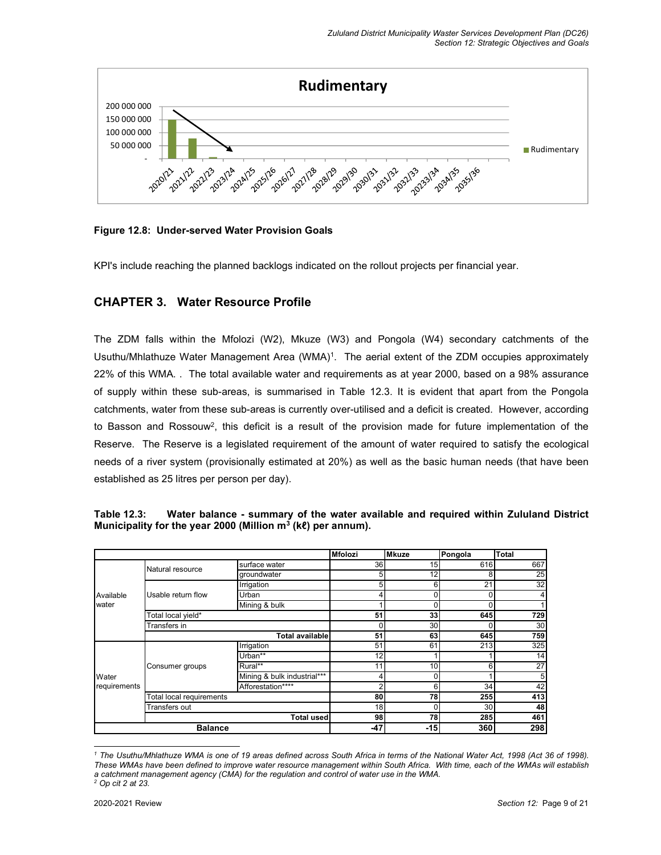

**Figure 12.8: Under-served Water Provision Goals** 

KPI's include reaching the planned backlogs indicated on the rollout projects per financial year.

## **CHAPTER 3. Water Resource Profile**

The ZDM falls within the Mfolozi (W2), Mkuze (W3) and Pongola (W4) secondary catchments of the Usuthu/Mhlathuze Water Management Area (WMA)<sup>1</sup>. The aerial extent of the ZDM occupies approximately 22% of this WMA. . The total available water and requirements as at year 2000, based on a 98% assurance of supply within these sub-areas, is summarised in Table 12.3. It is evident that apart from the Pongola catchments, water from these sub-areas is currently over-utilised and a deficit is created. However, according to Basson and Rossouw<sup>2</sup>, this deficit is a result of the provision made for future implementation of the Reserve. The Reserve is a legislated requirement of the amount of water required to satisfy the ecological needs of a river system (provisionally estimated at 20%) as well as the basic human needs (that have been established as 25 litres per person per day).

|              |                          |                             | <b>Mfolozi</b> | <b>Mkuze</b> | Pongola | <b>Total</b>    |
|--------------|--------------------------|-----------------------------|----------------|--------------|---------|-----------------|
|              | Natural resource         | surface water               | 36             | 15           | 616     | 667             |
|              |                          | groundwater                 | 5              | 12           | 8       | 25              |
|              |                          | Irrigation                  | 5              | 6            | 21      | 32              |
| Available    | Usable return flow       | Urban                       |                | 0            |         |                 |
| water        |                          | Mining & bulk               |                | C            |         |                 |
|              | Total local yield*       |                             | 51             | 33           | 645     | 729             |
|              | Transfers in             |                             |                | 30           |         | 30              |
|              |                          | <b>Total available</b>      | 51             | 63           | 645     | 759             |
|              |                          | Irrigation                  | 51             | 61           | 213     | 325             |
|              |                          | Urban**                     | 12             |              |         | 14              |
|              | Consumer groups          | Rural**                     | 11             | 10           | 6       | $\overline{27}$ |
| Water        |                          | Mining & bulk industrial*** |                | 0            |         | 5               |
| requirements |                          | Afforestation****           |                | 6            | 34      | 42              |
|              | Total local requirements |                             | 80             | 78           | 255     | 413             |
|              | Transfers out            |                             | 18             | 0            | 30      | 48              |
|              |                          | <b>Total used</b>           | 98             | 78           | 285     | 461             |
|              | <b>Balance</b>           |                             | $-47$          | $-15$        | 360     | 298             |

**Table 12.3: Water balance - summary of the water available and required within Zululand District Municipality for the year 2000 (Million m<sup>3</sup> (kℓ) per annum).** 

<sup>&</sup>lt;sup>1</sup> The Usuthu/Mhlathuze WMA is one of 19 areas defined across South Africa in terms of the National Water Act, 1998 (Act 36 of 1998). *These WMAs have been defined to improve water resource management within South Africa. With time, each of the WMAs will establish a catchment management agency (CMA) for the regulation and control of water use in the WMA.* 

*<sup>2</sup> Op cit 2 at 23.*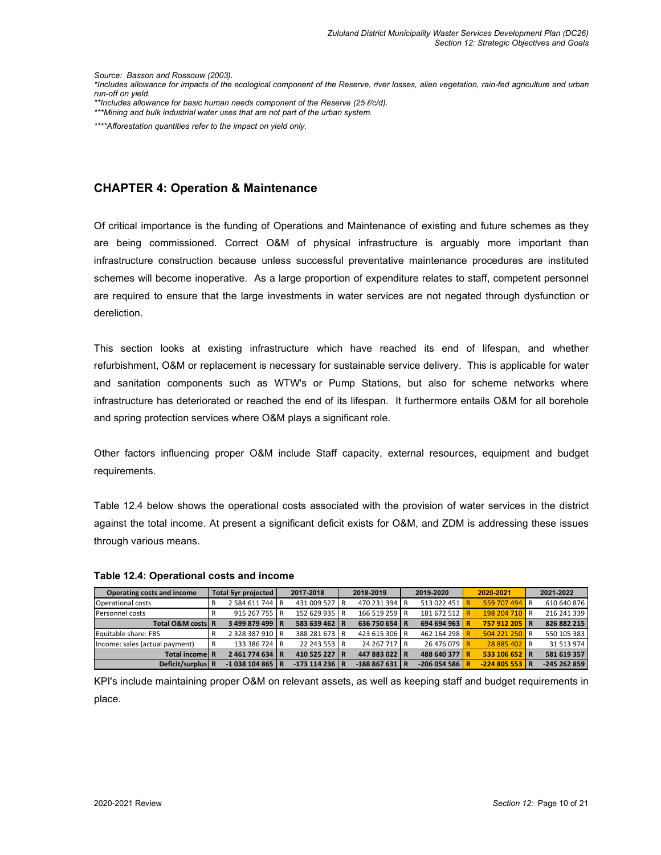*Source: Basson and Rossouw (2003).* 

*\*Includes allowance for impacts of the ecological component of the Reserve, river losses, alien vegetation, rain-fed agriculture and urban run-off on yield.* 

*\*\*Includes allowance for basic human needs component of the Reserve (25 ℓ/c/d). \*\*\*Mining and bulk industrial water uses that are not part of the urban system.* 

*\*\*\*\*Afforestation quantities refer to the impact on yield only.* 

## **CHAPTER 4: Operation & Maintenance**

Of critical importance is the funding of Operations and Maintenance of existing and future schemes as they are being commissioned. Correct O&M of physical infrastructure is arguably more important than infrastructure construction because unless successful preventative maintenance procedures are instituted schemes will become inoperative. As a large proportion of expenditure relates to staff, competent personnel are required to ensure that the large investments in water services are not negated through dysfunction or dereliction.

This section looks at existing infrastructure which have reached its end of lifespan, and whether refurbishment, O&M or replacement is necessary for sustainable service delivery. This is applicable for water and sanitation components such as WTW's or Pump Stations, but also for scheme networks where infrastructure has deteriorated or reached the end of its lifespan. It furthermore entails O&M for all borehole and spring protection services where O&M plays a significant role.

Other factors influencing proper O&M include Staff capacity, external resources, equipment and budget requirements.

Table 12.4 below shows the operational costs associated with the provision of water services in the district against the total income. At present a significant deficit exists for O&M, and ZDM is addressing these issues through various means.

| <b>Operating costs and income</b> | Total 5yr projected |                 | 2017-2018      | 2018-2019      | 2019-2020      | 2020-2021      | 2021-2022    |  |
|-----------------------------------|---------------------|-----------------|----------------|----------------|----------------|----------------|--------------|--|
| Operational costs                 | R                   | 2 584 611 744 R | 431 009 527 R  | 470 231 394 R  | 513 022 451    | 559 707 494 R  | 610 640 876  |  |
| Personnel costs                   |                     | 915 267 755 R   | 152 629 935 R  | 166 519 259 R  | 181 672 512 R  | 198 204 710 R  | 216 241 339  |  |
| Total O&M costs R                 |                     | 3499879499 R    | 583 639 462 R  | 636 750 654 R  | 694 694 963 R  | 757 912 205 R  | 826 882 215  |  |
| Equitable share: FBS              | R                   | 2 328 387 910 R | 388 281 673 R  | 423 615 306 R  | 462 164 298 R  | 504 221 250 R  | 550 105 383  |  |
| Income: sales (actual payment)    | R                   | 133 386 724 R   | 22 243 553 R   | 24 267 717 R   | 26 476 079 R   | 28 885 402 R   | 31 513 974   |  |
| <b>Total income R</b>             |                     | 2461774634 R    | 410 525 227 R  | 447 883 022 R  | 488 640 377 R  | 533 106 652 R  | 581 619 357  |  |
| Deficit/surplus R                 |                     | $-1038104865$ R | $-173114236$ R | $-188867631$ R | $-206054586$ R | $-224805553$ R | -245 262 859 |  |

#### **Table 12.4: Operational costs and income**

KPI's include maintaining proper O&M on relevant assets, as well as keeping staff and budget requirements in place.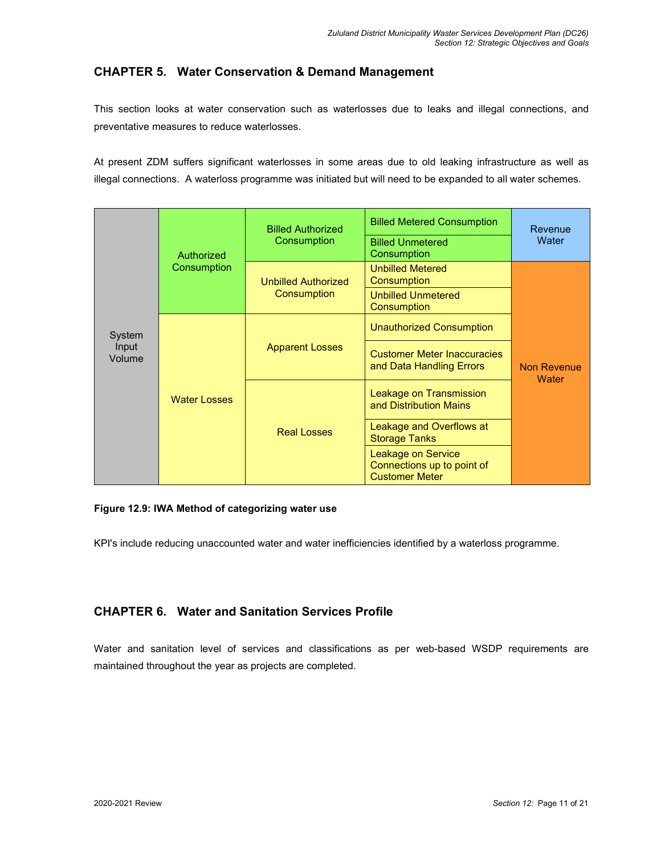# **CHAPTER 5. Water Conservation & Demand Management**

This section looks at water conservation such as waterlosses due to leaks and illegal connections, and preventative measures to reduce waterlosses.

At present ZDM suffers significant waterlosses in some areas due to old leaking infrastructure as well as illegal connections. A waterloss programme was initiated but will need to be expanded to all water schemes.

|                 |                     | <b>Billed Authorized</b>   | <b>Billed Metered Consumption</b>                                         | Revenue                     |
|-----------------|---------------------|----------------------------|---------------------------------------------------------------------------|-----------------------------|
|                 | Authorized          | Consumption                | <b>Billed Unmetered</b><br>Consumption                                    | Water                       |
|                 | Consumption         | <b>Unbilled Authorized</b> | <b>Unbilled Metered</b><br>Consumption                                    |                             |
|                 |                     | Consumption                | <b>Unbilled Unmetered</b><br>Consumption                                  |                             |
| System          |                     |                            | <b>Unauthorized Consumption</b>                                           |                             |
| Input<br>Volume |                     | <b>Apparent Losses</b>     | <b>Customer Meter Inaccuracies</b><br>and Data Handling Errors            | <b>Non Revenue</b><br>Water |
|                 | <b>Water Losses</b> |                            | Leakage on Transmission<br>and Distribution Mains                         |                             |
|                 |                     | <b>Real Losses</b>         | Leakage and Overflows at<br><b>Storage Tanks</b>                          |                             |
|                 |                     |                            | Leakage on Service<br>Connections up to point of<br><b>Customer Meter</b> |                             |

### **Figure 12.9: IWA Method of categorizing water use**

KPI's include reducing unaccounted water and water inefficiencies identified by a waterloss programme.

# **CHAPTER 6. Water and Sanitation Services Profile**

Water and sanitation level of services and classifications as per web-based WSDP requirements are maintained throughout the year as projects are completed.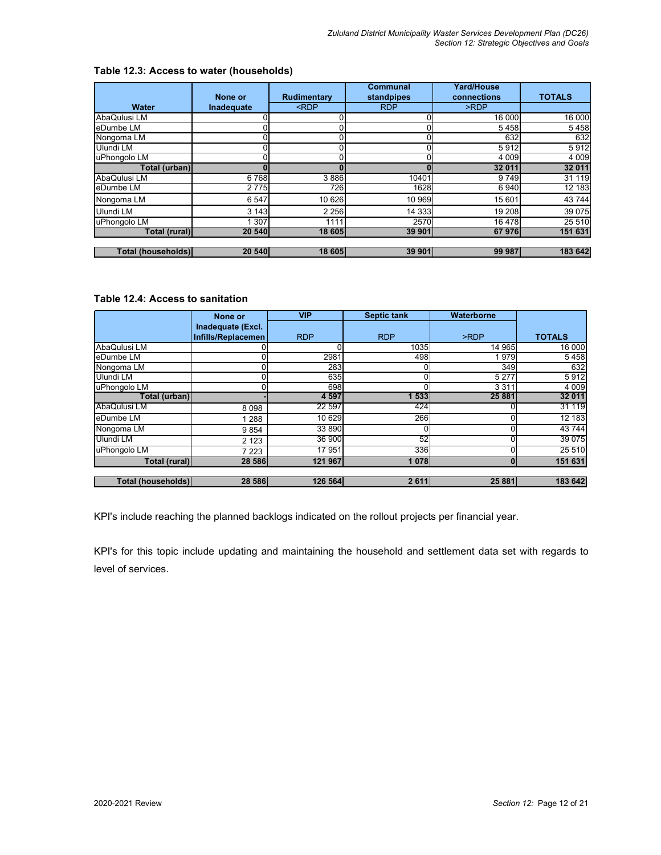|                    |               |                                                                 | Communal   | <b>Yard/House</b> |               |
|--------------------|---------------|-----------------------------------------------------------------|------------|-------------------|---------------|
|                    | None or       | Rudimentary                                                     | standpipes | connections       | <b>TOTALS</b> |
| Water              | Inadequate    | <rdp< th=""><th><b>RDP</b></th><th>&gt;RDP</th><th></th></rdp<> | <b>RDP</b> | >RDP              |               |
| AbaQulusi LM       |               |                                                                 |            | 16 000            | 16 000        |
| eDumbe LM          |               |                                                                 |            | 5458              | 5458          |
| Nongoma LM         |               |                                                                 | $\Omega$   | 632               | 632           |
| Ulundi LM          | າເ            |                                                                 | ΩI         | 5912              | 5912          |
| uPhongolo LM       | $\gamma_1$    |                                                                 |            | 4 0 0 9           | 4 0 0 9       |
| Total (urban)      |               |                                                                 |            | 32 011            | 32 011        |
| AbaQulusi LM       | 6768          | 3886                                                            | 10401      | 9749              | 31 119        |
| eDumbe LM          | 2775          | 726                                                             | 1628       | 6940              | 12 183        |
| Nongoma LM         | 6 5 4 7       | 10 6 26                                                         | 10 969     | 15 601            | 43 744        |
| Ulundi LM          | 3 1 4 3       | 2 2 5 6                                                         | 14 3 33    | 19 208            | 39 075        |
| uPhongolo LM       | 307           | 1111                                                            | 2570       | 16 478            | 25 510        |
| Total (rural)      | <b>20 540</b> | 18 605                                                          | 39 901     | <b>67976</b>      | 151 631       |
|                    |               |                                                                 |            |                   |               |
| Total (households) | <b>20 540</b> | 18 605                                                          | 39 901     | 99 987            | 183 642       |

## **Table 12.3: Access to water (households)**

## **Table 12.4: Access to sanitation**

|                    | None or            | <b>VIP</b> | <b>Septic tank</b> | Waterborne |               |
|--------------------|--------------------|------------|--------------------|------------|---------------|
|                    | Inadequate (Excl.  |            |                    |            |               |
|                    | Infills/Replacemen | <b>RDP</b> | <b>RDP</b>         | >RDP       | <b>TOTALS</b> |
| AbaQulusi LM       |                    |            | 1035               | 14 965     | 16 000        |
| eDumbe LM          |                    | 2981       | 498                | 1979       | 5458          |
| Nongoma LM         |                    | 283        |                    | 349        | 632           |
| Ulundi LM          |                    | 635        | $\Omega$           | 5 2 7 7    | 5912          |
| uPhongolo LM       |                    | 698        |                    | 3 3 1 1    | 4 0 0 9       |
| Total (urban)      |                    | 4 5 9 7    | 533                | 25 881     | 32 011        |
| AbaQulusi LM       | 8098               | 22 597     | 424                |            | 31 119        |
| eDumbe LM          | 1 2 8 8            | 10 629     | 266                |            | 12 183        |
| Nongoma LM         | 9854               | 33 890     | $\Omega$           |            | 43744         |
| Ulundi LM          | 2 1 2 3            | 36 900     | 52                 |            | 39 0 75       |
| uPhongolo LM       | 7 2 2 3            | 17 951     | 336                |            | 25 5 10       |
| Total (rural)      | 28 586             | 121 967    | 1078               |            | 151 631       |
|                    |                    |            |                    |            |               |
| Total (households) | 28 586             | 126 564    | 2 6 1 1            | 25 881     | 183 642       |

KPI's include reaching the planned backlogs indicated on the rollout projects per financial year.

KPI's for this topic include updating and maintaining the household and settlement data set with regards to level of services.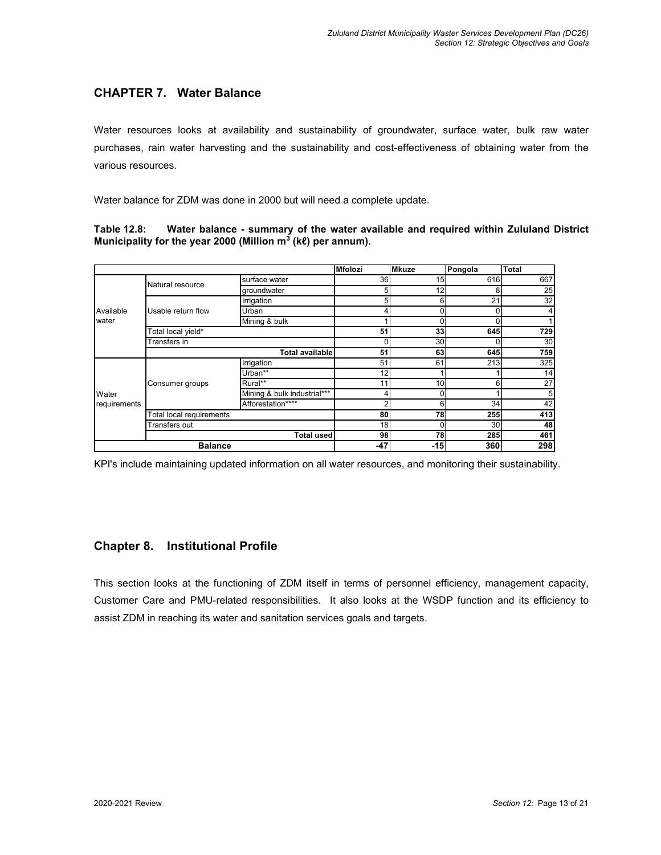# **CHAPTER 7. Water Balance**

Water resources looks at availability and sustainability of groundwater, surface water, bulk raw water purchases, rain water harvesting and the sustainability and cost-effectiveness of obtaining water from the various resources.

Water balance for ZDM was done in 2000 but will need a complete update.

**Table 12.8: Water balance - summary of the water available and required within Zululand District Municipality for the year 2000 (Million m<sup>3</sup> (kℓ) per annum).** 

|              |                                 |                             | Mfolozi         | <b>Mkuze</b> | Pongola    | <b>Total</b> |
|--------------|---------------------------------|-----------------------------|-----------------|--------------|------------|--------------|
|              | Natural resource                | surface water               | 36              | 15           | 616        | 667          |
|              |                                 | groundwater                 | 5               | 12           | 8          | 25           |
|              |                                 | Irrigation                  | 5               | 6            | 21         | 32           |
| Available    | Usable return flow              | Urban                       |                 | 0            |            | 4            |
| water        |                                 | Mining & bulk               |                 | 0            |            |              |
|              | Total local yield*              |                             | 51              | 33           | 645        | 729          |
|              | Transfers in                    |                             |                 | 30           |            | 30           |
|              |                                 | <b>Total available</b>      | 51              | 63           | 645        | 759          |
|              |                                 | Irrigation                  | 51              | 61           | 213        | 325          |
|              |                                 | Urban**                     | 12 <sub>1</sub> |              |            | 14           |
|              | Consumer groups                 | Rural**                     |                 | 10           | 6          | 27           |
| Water        |                                 | Mining & bulk industrial*** |                 | 0            |            | 5            |
| requirements |                                 | Afforestation****           |                 | 6            | 34         | 42           |
|              | <b>Total local requirements</b> |                             | 80              | 78           | <b>255</b> | 413          |
|              | Transfers out                   |                             | 18              | 0            | 30         | 48           |
|              |                                 | <b>Total used</b>           | 98              | 78           | 285        | 461          |
|              | <b>Balance</b>                  |                             | -47             | $-15$        | 360        | 298          |

KPI's include maintaining updated information on all water resources, and monitoring their sustainability.

## **Chapter 8. Institutional Profile**

This section looks at the functioning of ZDM itself in terms of personnel efficiency, management capacity, Customer Care and PMU-related responsibilities. It also looks at the WSDP function and its efficiency to assist ZDM in reaching its water and sanitation services goals and targets.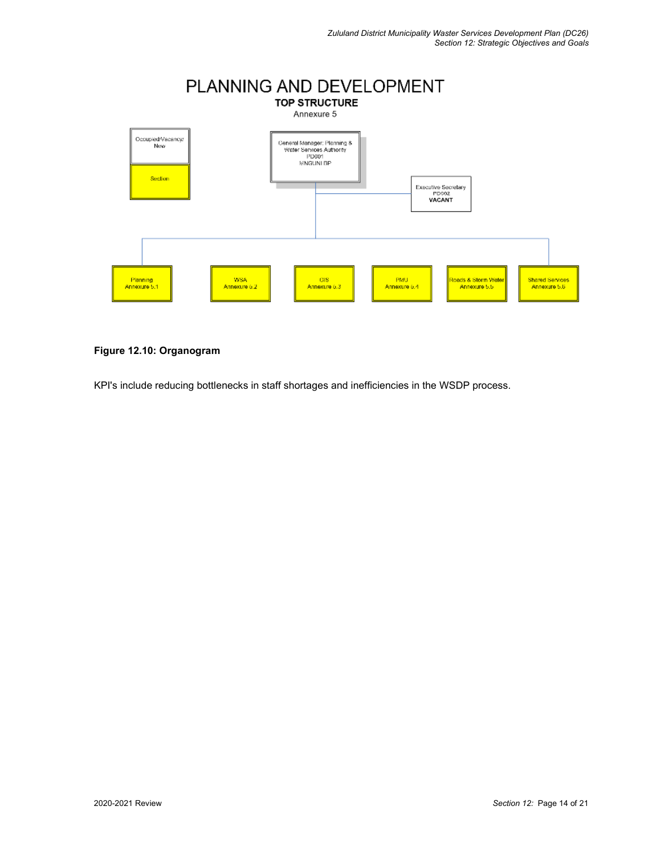

### **Figure 12.10: Organogram**

KPI's include reducing bottlenecks in staff shortages and inefficiencies in the WSDP process.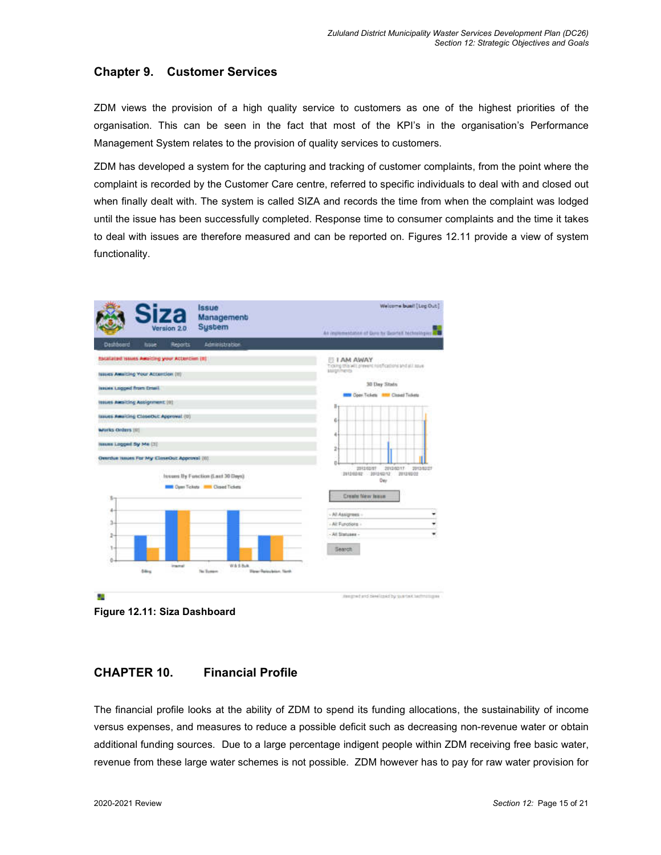## **Chapter 9. Customer Services**

ZDM views the provision of a high quality service to customers as one of the highest priorities of the organisation. This can be seen in the fact that most of the KPI's in the organisation's Performance Management System relates to the provision of quality services to customers.

ZDM has developed a system for the capturing and tracking of customer complaints, from the point where the complaint is recorded by the Customer Care centre, referred to specific individuals to deal with and closed out when finally dealt with. The system is called SIZA and records the time from when the complaint was lodged until the issue has been successfully completed. Response time to consumer complaints and the time it takes to deal with issues are therefore measured and can be reported on. Figures 12.11 provide a view of system functionality.



**Figure 12.11: Siza Dashboard** 

## **CHAPTER 10. Financial Profile**

The financial profile looks at the ability of ZDM to spend its funding allocations, the sustainability of income versus expenses, and measures to reduce a possible deficit such as decreasing non-revenue water or obtain additional funding sources. Due to a large percentage indigent people within ZDM receiving free basic water, revenue from these large water schemes is not possible. ZDM however has to pay for raw water provision for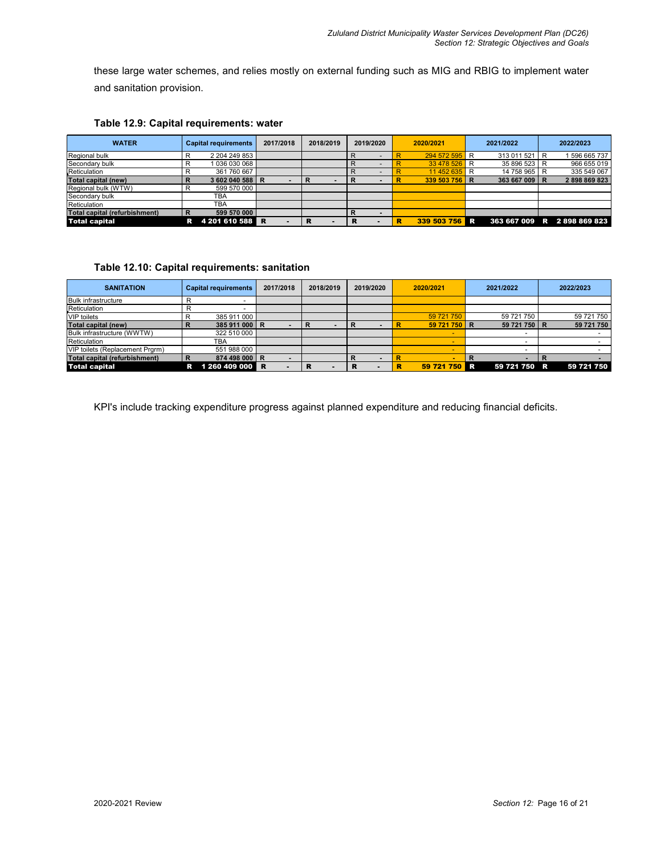these large water schemes, and relies mostly on external funding such as MIG and RBIG to implement water and sanitation provision.

| <b>WATER</b>                  |   | <b>Capital requirements</b> |   | 2017/2018 | 2018/2019 | 2019/2020 |  | 2020/2021     |   | 2021/2022     | 2022/2023                   |
|-------------------------------|---|-----------------------------|---|-----------|-----------|-----------|--|---------------|---|---------------|-----------------------------|
| Regional bulk                 | R | 2 204 249 853               |   |           |           |           |  | 294 572 595 R |   | 313 011 521 R | 596 665 737                 |
| Secondary bulk                |   | 1 036 030 068               |   |           |           |           |  | 33 478 526 R  |   | 35 896 523 R  | 966 655 019                 |
| Reticulation                  |   | 361 760 667                 |   |           |           |           |  | 11 452 635    | R | 14 758 965 R  | 335 549 067                 |
| <b>Total capital (new)</b>    | R | 3 602 040 588 R             |   |           |           |           |  | 339 503 756 R |   | 363 667 009 R | 2898869823                  |
| Regional bulk (WTW)           |   | 599 570 000                 |   |           |           |           |  |               |   |               |                             |
| Secondary bulk                |   | TBA                         |   |           |           |           |  |               |   |               |                             |
| Reticulation                  |   | TBA                         |   |           |           |           |  |               |   |               |                             |
| Total capital (refurbishment) | R | 599 570 000                 |   |           |           |           |  |               |   |               |                             |
| <b>Total capital</b>          | R | 4 201 610 588               | R |           |           |           |  | 339 503 756   |   |               | 363 667 009 R 2 898 869 823 |

### **Table 12.9: Capital requirements: water**

### **Table 12.10: Capital requirements: sanitation**

| <b>SANITATION</b>               |   | <b>Capital requirements</b> | 2017/2018 |   | 2018/2019 |   | 2019/2020 | 2020/2021 |              |     | 2021/2022    | 2022/2023  |
|---------------------------------|---|-----------------------------|-----------|---|-----------|---|-----------|-----------|--------------|-----|--------------|------------|
| <b>Bulk infrastructure</b>      |   |                             |           |   |           |   |           |           |              |     |              |            |
| Reticulation                    |   |                             |           |   |           |   |           |           |              |     |              |            |
| <b>VIP</b> toilets              |   | 385 911 000                 |           |   |           |   |           |           | 59 721 750   |     | 59 721 750   | 59 721 750 |
| Total capital (new)             |   | 385 911 000 R               |           | R |           |   |           |           | 59 721 750 R |     | 59 721 750 R | 59 721 750 |
| Bulk infrastructure (WWTW)      |   | 322 510 000                 |           |   |           |   |           |           | $\sim$       |     |              |            |
| Reticulation                    |   | TBA                         |           |   |           |   |           |           |              |     |              |            |
| VIP toilets (Replacement Prgrm) |   | 551 988 000                 |           |   |           |   |           |           | -            |     |              |            |
| Total capital (refurbishment)   | D | 874 498 000 R               |           |   |           |   |           |           |              | R   |              |            |
| <b>Total capital</b>            | R | 1 260 409 000 R             |           | ĸ |           | R |           |           | 59 721 750   | IR. | 59 721 750 R | 59 721 750 |

KPI's include tracking expenditure progress against planned expenditure and reducing financial deficits.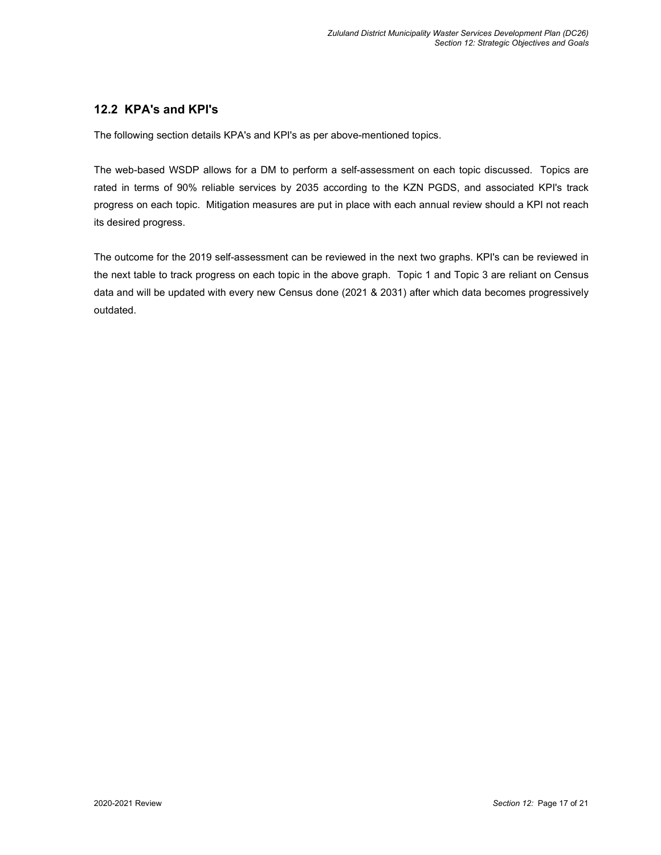# **12.2 KPA's and KPI's**

The following section details KPA's and KPI's as per above-mentioned topics.

The web-based WSDP allows for a DM to perform a self-assessment on each topic discussed. Topics are rated in terms of 90% reliable services by 2035 according to the KZN PGDS, and associated KPI's track progress on each topic. Mitigation measures are put in place with each annual review should a KPI not reach its desired progress.

The outcome for the 2019 self-assessment can be reviewed in the next two graphs. KPI's can be reviewed in the next table to track progress on each topic in the above graph. Topic 1 and Topic 3 are reliant on Census data and will be updated with every new Census done (2021 & 2031) after which data becomes progressively outdated.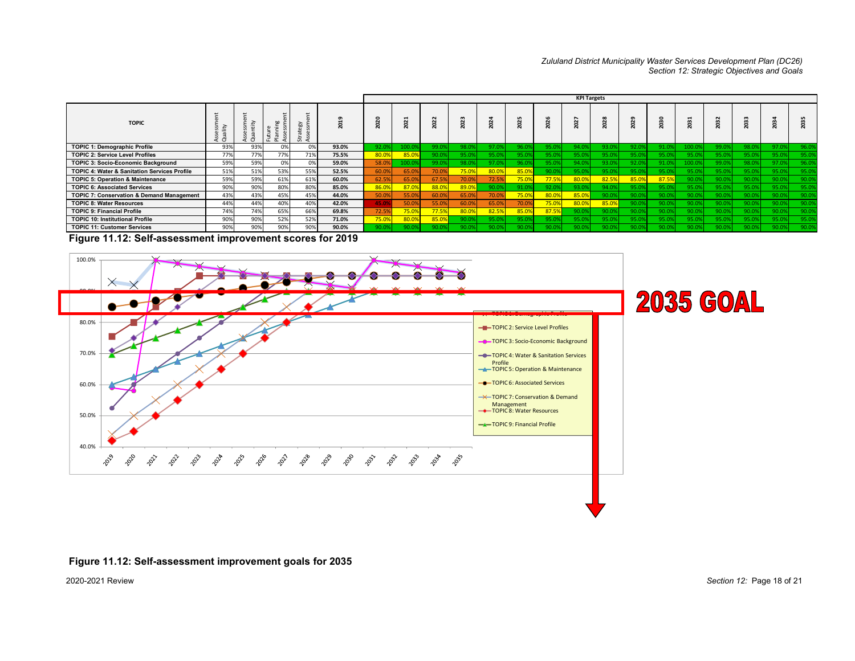# *Zululand District Municipality Waster Services Development Plan (DC26) Section 12: Strategic Objectives and Goals*

|                                                         |     |            |                                  |     |       |              |       |        |       |                 |        |             | <b>KPI Targets</b>     |        |       |      |                              |       |                 |        |      |
|---------------------------------------------------------|-----|------------|----------------------------------|-----|-------|--------------|-------|--------|-------|-----------------|--------|-------------|------------------------|--------|-------|------|------------------------------|-------|-----------------|--------|------|
| <b>TOPIC</b>                                            |     | $\epsilon$ | $\omega$<br>×.<br>$\overline{z}$ | 줍 면 |       | $\mathbf{C}$ |       | ន<br>ö | 2023  | Ñ<br>$\epsilon$ | Ñ<br>g | ส<br>ö<br>ম | N<br>$\mathbf{\Omega}$ | Ñ<br>g | ន     | ä    | ਜ਼<br>$\mathbf{\Omega}$<br>ম |       | ೫<br>$\epsilon$ | 0<br>ส |      |
| <b>TOPIC 1: Demographic Profile</b>                     | 93% | 93%        | 0%                               | 0%  | 93.0% | 92.09        |       | 99.09  | 98.0  | 97.0            | 96.0   | 95.0        | 94.0.                  | 93.09  | 92.0  | 91.0 | 100.0                        | 99.0  | 98.09           | 07f    | 96.0 |
| <b>TOPIC 2: Service Level Profiles</b>                  | 77% | 77%        | 77%                              | 71% | 75.5% | 80.09        | 85.09 | 90.0%  | 95.09 | 95.0            |        | 95.0        | 95.0                   |        | 95.0  |      | 95.0                         |       | 95.09           |        | 95.0 |
| <b>TOPIC 3: Socio-Economic Background</b>               | 59% | 59%        | 0%                               | 0%  | 59.0% | 58.09        |       | 99.0%  | 98.0  |                 |        | 95.0        | 74.0.                  |        | 92.0. |      | 100.0                        |       | 98.09           |        | 96.0 |
| <b>TOPIC 4: Water &amp; Sanitation Services Profile</b> | 51% | 51%        | 53%                              | 55% | 52.5% | 60.09        | 65.09 | 70.0%  | 75.0% | 80.0            | 85.0%  | 90.0        |                        |        | 95.0  |      |                              |       |                 |        | 95.0 |
| <b>TOPIC 5: Operation &amp; Maintenance</b>             | 59% | 59%        | 61%                              | 61% | 60.0% | 62.5%        | 65.09 | 67.5%  | 70.0% | 72.5            | 75.0%  | 77.5%       | 80.0%                  | 82.5%  | 85.09 | 87.5 | 90.0                         |       | 90.0%           | 90.0   | 90.0 |
| <b>TOPIC 6: Associated Services</b>                     | 90% | 90%        | 80%                              | 80% | 85.0% | 86.0%        | 87.09 | 88.0%  | 89.0% | 90.0            | 91.0   | 92.09       | 93.09                  | 94.0%  | 95.09 | 95.0 | 95.0                         | 95.09 | 95.0%           | 95.0   | 95.0 |
| <b>TOPIC 7: Conservation &amp; Demand Management</b>    | 43% | 43%        | 45%                              | 45% | 44.0% | 50.09        | 55.09 | 60.09  | 65.09 |                 | 75.0%  | 80.09       | 85.0%                  |        | 90.0  | 90.0 | 90.0                         |       |                 |        | 90.0 |
| <b>TOPIC 8: Water Resources</b>                         | 44% | 44%        | 40%                              | 40% | 42.0% | 45.09        | 50.09 | 55.09  | 60.09 | 65.0            | 70.09  | 75.09       | 80.09                  | 85.0%  | 90.09 | 90.0 |                              |       |                 |        | 90.0 |
| <b>TOPIC 9: Financial Profile</b>                       | 74% | 74%        | 65%                              | 66% | 69.8% | 72.59        | 75.09 | 77.5%  | 80.0% | 82.5            | 85.09  | 87.5%       |                        |        |       |      |                              |       |                 |        | 90.0 |
| <b>TOPIC 10: Institutional Profile</b>                  | 90% | 90%        | 52%                              | 52% | 71.0% | 75.0%        | 80.09 | 85.0%  |       | 95.C            |        | 95.0        |                        |        |       |      |                              |       |                 |        | 95.0 |
| <b>TOPIC 11: Customer Services</b>                      | 90% | 90%        | 90%                              | 90% | 90.0% | 90.0%        | 90.09 | 90.09  |       | 90.0            |        | 90.0        | 90.09                  |        | 90.0  | 90.0 | 90.09                        |       | 90.0%           | 90.02  | 90.0 |

 **Figure 11.12: Self-assessment improvement scores for 2019**



#### **Figure 11.12: Self-assessment improvement goals for 2035**

2020-2021 Review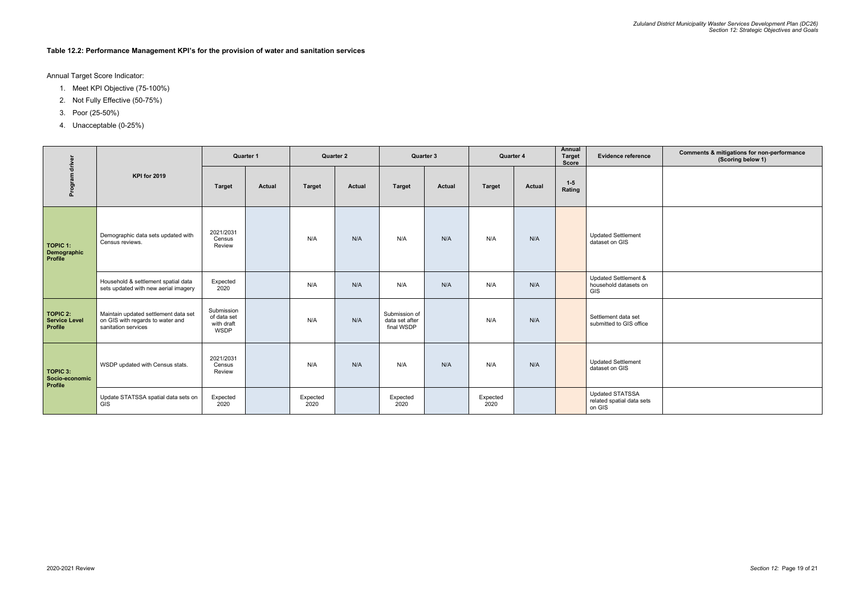## **Table 12.2: Performance Management KPI's for the provision of water and sanitation services**

Annual Target Score Indicator:

- 1. Meet KPI Objective (75-100%)
- 2. Not Fully Effective (50-75%)
- 3. Poor (25-50%)
- 4. Unacceptable (0-25%)

| Evidence reference                            | Comments & mitigations for non-performance<br>(Scoring below 1) |
|-----------------------------------------------|-----------------------------------------------------------------|
|                                               |                                                                 |
| dated Settlement<br>aset on GIS               |                                                                 |
| dated Settlement &<br>sehold datasets on      |                                                                 |
| tlement data set<br>mitted to GIS office      |                                                                 |
| dated Settlement<br>aset on GIS               |                                                                 |
| dated STATSSA<br>ted spatial data sets<br>GIS |                                                                 |

|                                                           |                                                                                                 | <b>Quarter 1</b>                                       |               | <b>Quarter 2</b> |               | <b>Quarter 3</b>                              |               | Quarter 4        |               | <b>Annual</b><br><b>Target</b><br><b>Score</b> | <b>Evidence reference</b>                                     |
|-----------------------------------------------------------|-------------------------------------------------------------------------------------------------|--------------------------------------------------------|---------------|------------------|---------------|-----------------------------------------------|---------------|------------------|---------------|------------------------------------------------|---------------------------------------------------------------|
| Program driver                                            | <b>KPI for 2019</b>                                                                             | <b>Target</b>                                          | <b>Actual</b> | <b>Target</b>    | <b>Actual</b> | <b>Target</b>                                 | <b>Actual</b> | <b>Target</b>    | <b>Actual</b> | $1-5$<br>Rating                                |                                                               |
| <b>TOPIC 1:</b><br>Demographic<br><b>Profile</b>          | Demographic data sets updated with<br>Census reviews.                                           | 2021/2031<br>Census<br>Review                          |               | N/A              | N/A           | N/A                                           | N/A           | N/A              | N/A           |                                                | <b>Updated Settlement</b><br>dataset on GIS                   |
|                                                           | Household & settlement spatial data<br>sets updated with new aerial imagery                     | Expected<br>2020                                       |               | N/A              | N/A           | N/A                                           | N/A           | N/A              | N/A           |                                                | Updated Settlement &<br>household datasets on<br>GIS          |
| <b>TOPIC 2:</b><br><b>Service Level</b><br><b>Profile</b> | Maintain updated settlement data set<br>on GIS with regards to water and<br>sanitation services | Submission<br>of data set<br>with draft<br><b>WSDP</b> |               | N/A              | N/A           | Submission of<br>data set after<br>final WSDP |               | N/A              | N/A           |                                                | Settlement data set<br>submitted to GIS office                |
| <b>TOPIC 3:</b><br>Socio-economic<br>Profile              | WSDP updated with Census stats.                                                                 | 2021/2031<br>Census<br>Review                          |               | N/A              | N/A           | N/A                                           | N/A           | N/A              | N/A           |                                                | <b>Updated Settlement</b><br>dataset on GIS                   |
|                                                           | Update STATSSA spatial data sets on<br><b>GIS</b>                                               | Expected<br>2020                                       |               | Expected<br>2020 |               | Expected<br>2020                              |               | Expected<br>2020 |               |                                                | <b>Updated STATSSA</b><br>related spatial data sets<br>on GIS |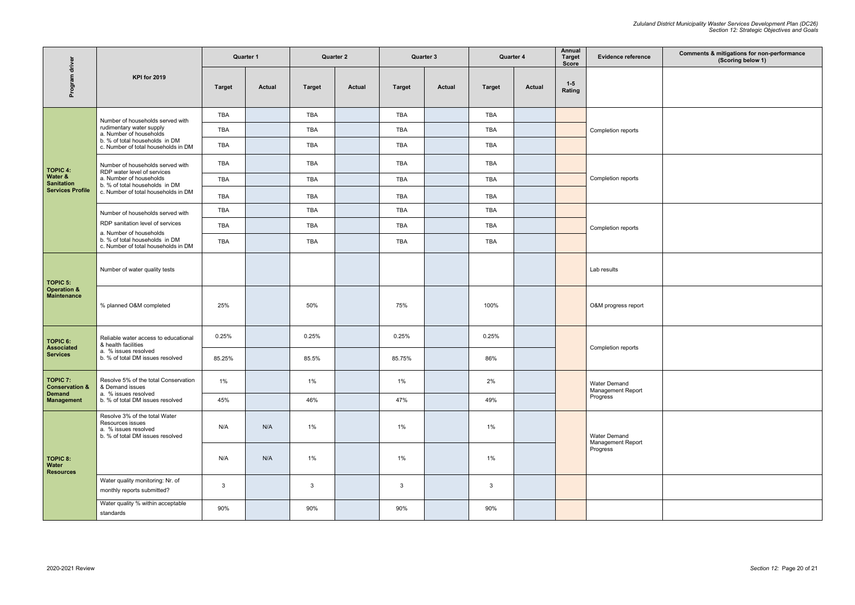2020-2021 Review

| Evidence reference                     | Comments & mitigations for non-performance<br>(Scoring below 1) |
|----------------------------------------|-----------------------------------------------------------------|
|                                        |                                                                 |
| mpletion reports                       |                                                                 |
| mpletion reports                       |                                                                 |
| mpletion reports                       |                                                                 |
| results                                |                                                                 |
| M progress report                      |                                                                 |
| mpletion reports                       |                                                                 |
| ter Demand<br>nagement Report<br>gress |                                                                 |
| ter Demand<br>nagement Report<br>gress |                                                                 |
|                                        |                                                                 |
|                                        |                                                                 |

|                                                                 |                                                                                                                         | <b>Quarter 1</b> |               | <b>Quarter 2</b> |               |               | Quarter 3     | <b>Quarter 4</b> |               | Annual<br><b>Target</b><br><b>Score</b> | <b>Evidence referenc</b>                 |
|-----------------------------------------------------------------|-------------------------------------------------------------------------------------------------------------------------|------------------|---------------|------------------|---------------|---------------|---------------|------------------|---------------|-----------------------------------------|------------------------------------------|
| Program driver                                                  | <b>KPI for 2019</b>                                                                                                     | <b>Target</b>    | <b>Actual</b> | <b>Target</b>    | <b>Actual</b> | <b>Target</b> | <b>Actual</b> | <b>Target</b>    | <b>Actual</b> | $1-5$<br>Rating                         |                                          |
|                                                                 | Number of households served with                                                                                        | <b>TBA</b>       |               | <b>TBA</b>       |               | <b>TBA</b>    |               | <b>TBA</b>       |               |                                         | Completion reports                       |
|                                                                 | rudimentary water supply<br>a. Number of households                                                                     | <b>TBA</b>       |               | <b>TBA</b>       |               | <b>TBA</b>    |               | <b>TBA</b>       |               |                                         |                                          |
|                                                                 | b. % of total households in DM<br>c. Number of total households in DM                                                   | <b>TBA</b>       |               | TBA              |               | <b>TBA</b>    |               | TBA              |               |                                         |                                          |
| <b>TOPIC 4:</b>                                                 | Number of households served with<br>RDP water level of services                                                         | <b>TBA</b>       |               | <b>TBA</b>       |               | <b>TBA</b>    |               | <b>TBA</b>       |               |                                         |                                          |
| Water &<br><b>Sanitation</b>                                    | a. Number of households<br>b. % of total households in DM                                                               | <b>TBA</b>       |               | <b>TBA</b>       |               | <b>TBA</b>    |               | <b>TBA</b>       |               |                                         | Completion reports                       |
| <b>Services Profile</b>                                         | c. Number of total households in DM                                                                                     | <b>TBA</b>       |               | TBA              |               | <b>TBA</b>    |               | TBA              |               |                                         |                                          |
|                                                                 | Number of households served with                                                                                        | <b>TBA</b>       |               | <b>TBA</b>       |               | <b>TBA</b>    |               | <b>TBA</b>       |               |                                         |                                          |
|                                                                 | RDP sanitation level of services<br>a. Number of households                                                             | TBA              |               | <b>TBA</b>       |               | <b>TBA</b>    |               | <b>TBA</b>       |               |                                         | Completion reports                       |
|                                                                 | b. % of total households in DM<br>c. Number of total households in DM                                                   | <b>TBA</b>       |               | <b>TBA</b>       |               | <b>TBA</b>    |               | <b>TBA</b>       |               |                                         |                                          |
| <b>TOPIC 5:</b><br><b>Operation &amp;</b><br><b>Maintenance</b> | Number of water quality tests                                                                                           |                  |               |                  |               |               |               |                  |               |                                         | Lab results                              |
|                                                                 | % planned O&M completed                                                                                                 | 25%              |               | 50%              |               | 75%           |               | 100%             |               |                                         | O&M progress report                      |
| <b>TOPIC 6:</b>                                                 | Reliable water access to educational<br>& health facilities<br>a. % issues resolved<br>b. % of total DM issues resolved | 0.25%            |               | 0.25%            |               | 0.25%         |               | 0.25%            |               |                                         |                                          |
| <b>Associated</b><br><b>Services</b>                            |                                                                                                                         | 85.25%           |               | 85.5%            |               | 85.75%        |               | 86%              |               |                                         | Completion reports                       |
| <b>TOPIC 7:</b><br><b>Conservation &amp;</b>                    | Resolve 5% of the total Conservation<br>& Demand issues<br>a. % issues resolved<br>b. % of total DM issues resolved     | $1\%$            |               | 1%               |               | $1\%$         |               | 2%               |               |                                         | <b>Water Demand</b><br>Management Report |
| <b>Demand</b><br><b>Management</b>                              |                                                                                                                         | 45%              |               | 46%              |               | 47%           |               | 49%              |               |                                         | Progress                                 |
| <b>TOPIC 8:</b><br>Water<br><b>Resources</b>                    | Resolve 3% of the total Water<br>Resources issues<br>a. % issues resolved<br>b. % of total DM issues resolved           | N/A              | N/A           | $1\%$            |               | 1%            |               | 1%               |               |                                         | <b>Water Demand</b>                      |
|                                                                 |                                                                                                                         | N/A              | N/A           | $1\%$            |               | 1%            |               | $1\%$            |               |                                         | Management Report<br>Progress            |
|                                                                 | Water quality monitoring: Nr. of<br>monthly reports submitted?                                                          | $\mathbf{3}$     |               | 3                |               | $\mathbf{3}$  |               | 3                |               |                                         |                                          |
|                                                                 | Water quality % within acceptable<br>standards                                                                          | 90%              |               | 90%              |               | 90%           |               | 90%              |               |                                         |                                          |